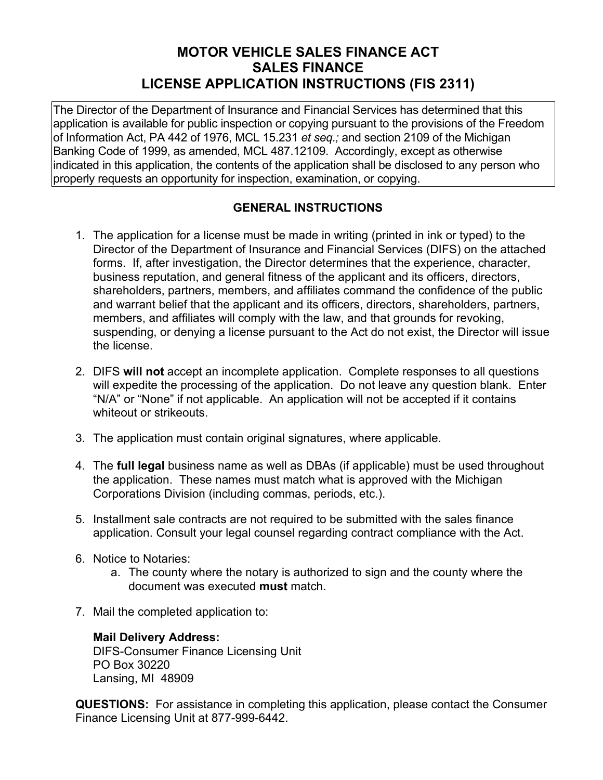# **MOTOR VEHICLE SALES FINANCE ACT SALES FINANCE LICENSE APPLICATION INSTRUCTIONS (FIS 2311)**

The Director of the Department of Insurance and Financial Services has determined that this application is available for public inspection or copying pursuant to the provisions of the Freedom of Information Act, PA 442 of 1976, MCL 15.231 *et seq.;* and section 2109 of the Michigan Banking Code of 1999, as amended, MCL 487.12109. Accordingly, except as otherwise indicated in this application, the contents of the application shall be disclosed to any person who properly requests an opportunity for inspection, examination, or copying.

# **GENERAL INSTRUCTIONS**

- 1. The application for a license must be made in writing (printed in ink or typed) to the Director of the Department of Insurance and Financial Services (DIFS) on the attached forms. If, after investigation, the Director determines that the experience, character, business reputation, and general fitness of the applicant and its officers, directors, shareholders, partners, members, and affiliates command the confidence of the public and warrant belief that the applicant and its officers, directors, shareholders, partners, members, and affiliates will comply with the law, and that grounds for revoking, suspending, or denying a license pursuant to the Act do not exist, the Director will issue the license.
- 2. DIFS **will not** accept an incomplete application. Complete responses to all questions will expedite the processing of the application. Do not leave any question blank. Enter "N/A" or "None" if not applicable. An application will not be accepted if it contains whiteout or strikeouts.
- 3. The application must contain original signatures, where applicable.
- 4. The **full legal** business name as well as DBAs (if applicable) must be used throughout the application. These names must match what is approved with the Michigan Corporations Division (including commas, periods, etc.).
- 5. Installment sale contracts are not required to be submitted with the sales finance application. Consult your legal counsel regarding contract compliance with the Act.
- 6. Notice to Notaries:
	- a. The county where the notary is authorized to sign and the county where the document was executed **must** match.
- 7. Mail the completed application to:

# **Mail Delivery Address:**

DIFS-Consumer Finance Licensing Unit PO Box 30220 Lansing, MI 48909

**QUESTIONS:** For assistance in completing this application, please contact the Consumer Finance Licensing Unit at 877-999-6442.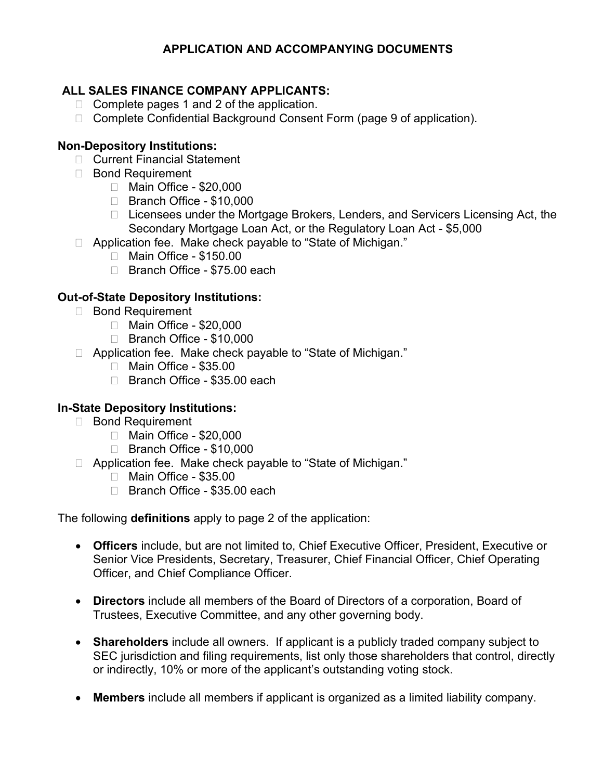# **APPLICATION AND ACCOMPANYING DOCUMENTS**

# **ALL SALES FINANCE COMPANY APPLICANTS:**

- $\Box$  Complete pages 1 and 2 of the application.
- □ Complete Confidential Background Consent Form (page 9 of application).

# **Non-Depository Institutions:**

- □ Current Financial Statement
- □ Bond Requirement
	- □ Main Office \$20,000
		- □ Branch Office \$10,000
		- □ Licensees under the Mortgage Brokers, Lenders, and Servicers Licensing Act, the Secondary Mortgage Loan Act, or the Regulatory Loan Act - \$5,000
- □ Application fee. Make check payable to "State of Michigan."
	- Main Office \$150.00
	- □ Branch Office \$75.00 each

# **Out-of-State Depository Institutions:**

- Bond Requirement
	- Main Office \$20,000
	- Branch Office \$10,000
- □ Application fee. Make check payable to "State of Michigan."
	- Main Office \$35.00
	- □ Branch Office \$35.00 each

# **In-State Depository Institutions:**

- □ Bond Requirement
	- Main Office \$20,000
	- □ Branch Office \$10,000
- □ Application fee. Make check payable to "State of Michigan."
	- Main Office \$35.00
	- □ Branch Office \$35.00 each

The following **definitions** apply to page 2 of the application:

- **Officers** include, but are not limited to, Chief Executive Officer, President, Executive or Senior Vice Presidents, Secretary, Treasurer, Chief Financial Officer, Chief Operating Officer, and Chief Compliance Officer.
- **Directors** include all members of the Board of Directors of a corporation, Board of Trustees, Executive Committee, and any other governing body.
- **Shareholders** include all owners. If applicant is a publicly traded company subject to SEC jurisdiction and filing requirements, list only those shareholders that control, directly or indirectly, 10% or more of the applicant's outstanding voting stock.
- **Members** include all members if applicant is organized as a limited liability company.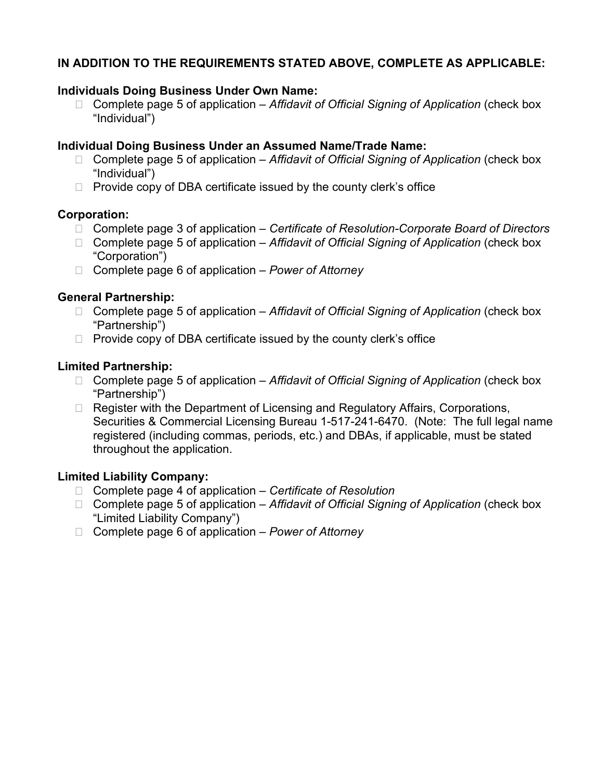# **IN ADDITION TO THE REQUIREMENTS STATED ABOVE, COMPLETE AS APPLICABLE:**

#### **Individuals Doing Business Under Own Name:**

 Complete page 5 of application – *Affidavit of Official Signing of Application* (check box "Individual")

### **Individual Doing Business Under an Assumed Name/Trade Name:**

- Complete page 5 of application *Affidavit of Official Signing of Application* (check box "Individual")
- $\Box$  Provide copy of DBA certificate issued by the county clerk's office

### **Corporation:**

- Complete page 3 of application *Certificate of Resolution-Corporate Board of Directors*
- Complete page 5 of application *Affidavit of Official Signing of Application* (check box "Corporation")
- Complete page 6 of application *Power of Attorney*

### **General Partnership:**

- Complete page 5 of application *Affidavit of Official Signing of Application* (check box "Partnership")
- $\Box$  Provide copy of DBA certificate issued by the county clerk's office

### **Limited Partnership:**

- Complete page 5 of application *Affidavit of Official Signing of Application* (check box "Partnership")
- $\Box$  Register with the Department of Licensing and Regulatory Affairs, Corporations, Securities & Commercial Licensing Bureau 1-517-241-6470. (Note: The full legal name registered (including commas, periods, etc.) and DBAs, if applicable, must be stated throughout the application.

# **Limited Liability Company:**

- Complete page 4 of application *Certificate of Resolution*
- Complete page 5 of application *Affidavit of Official Signing of Application* (check box "Limited Liability Company")
- Complete page 6 of application *Power of Attorney*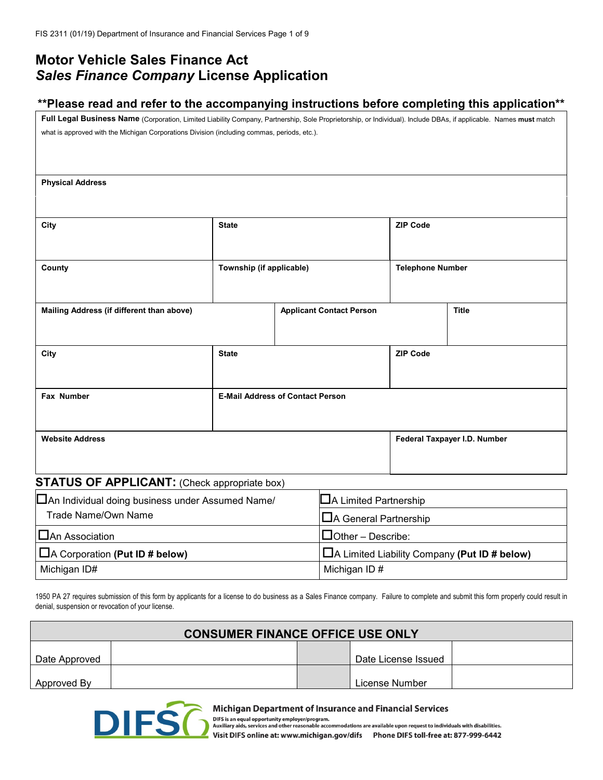# **Motor Vehicle Sales Finance Act** *Sales Finance Company* **License Application**

#### **\*\*Please read and refer to the accompanying instructions before completing this application\*\***

**Full Legal Business Name** (Corporation, Limited Liability Company, Partnership, Sole Proprietorship, or Individual). Include DBAs, if applicable. Names **must** match what is approved with the Michigan Corporations Division (including commas, periods, etc.).

**Physical Address**

| City                                                | <b>State</b>                            |                                 | <b>ZIP Code</b>         |                              |
|-----------------------------------------------------|-----------------------------------------|---------------------------------|-------------------------|------------------------------|
| County                                              | Township (if applicable)                |                                 | <b>Telephone Number</b> |                              |
| Mailing Address (if different than above)           |                                         | <b>Applicant Contact Person</b> |                         | <b>Title</b>                 |
| City                                                | <b>State</b>                            |                                 | <b>ZIP Code</b>         |                              |
| Fax Number                                          | <b>E-Mail Address of Contact Person</b> |                                 |                         |                              |
| <b>Website Address</b>                              |                                         |                                 |                         | Federal Taxpayer I.D. Number |
| <b>STATUS OF APPLICANT:</b> (Check appropriate box) |                                         |                                 |                         |                              |

| □ An Individual doing business under Assumed Name/ | $\Box$ A Limited Partnership                        |
|----------------------------------------------------|-----------------------------------------------------|
| Trade Name/Own Name                                | $\Box$ A General Partnership                        |
| $\Box$ An Association                              | $\Box$ Other – Describe:                            |
| $\Box$ A Corporation (Put ID # below)              | $\Box$ A Limited Liability Company (Put ID # below) |
| Michigan ID#                                       | Michigan ID#                                        |

1950 PA 27 requires submission of this form by applicants for a license to do business as a Sales Finance company. Failure to complete and submit this form properly could result in denial, suspension or revocation of your license.

| <b>CONSUMER FINANCE OFFICE USE ONLY</b> |  |  |                     |  |  |
|-----------------------------------------|--|--|---------------------|--|--|
| Date Approved                           |  |  | Date License Issued |  |  |
| Approved By                             |  |  | License Number      |  |  |



Michigan Department of Insurance and Financial Services

DIFS is an equal opportunity employer/program.<br>Auxiliary aids, services and other reasonable accommodations are available upon request to individuals with disabilities.<br>Auxiliary aids, services and other reasonable accommo

Visit DIFS online at: www.michigan.gov/difs Phone DIFS toll-free at: 877-999-6442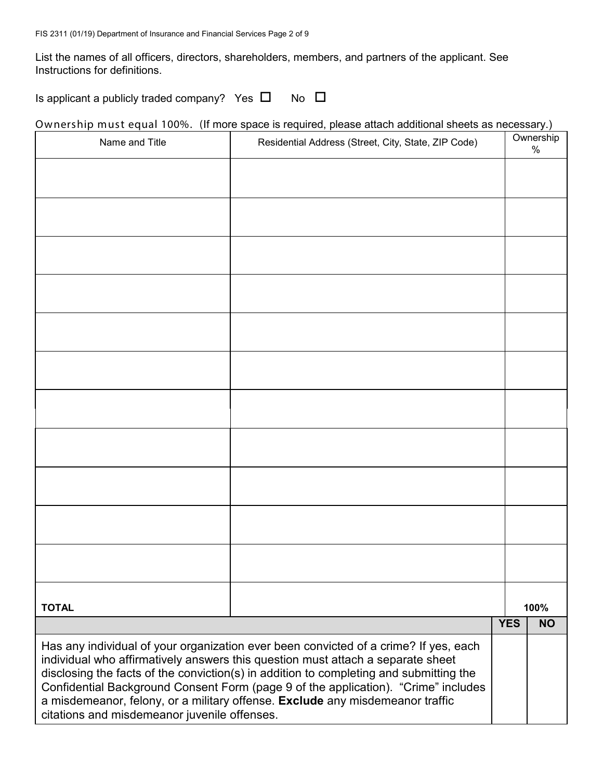List the names of all officers, directors, shareholders, members, and partners of the applicant. See Instructions for definitions.

Is applicant a publicly traded company? Yes  $\Box$  No  $\Box$ 

Ownership must equal 100%. (If more space is required, please attach additional sheets as necessary.)

| Name and Title                               | Residential Address (Street, City, State, ZIP Code)                                                                                                                                                                                                               |            | Ownership<br>% |
|----------------------------------------------|-------------------------------------------------------------------------------------------------------------------------------------------------------------------------------------------------------------------------------------------------------------------|------------|----------------|
|                                              |                                                                                                                                                                                                                                                                   |            |                |
|                                              |                                                                                                                                                                                                                                                                   |            |                |
|                                              |                                                                                                                                                                                                                                                                   |            |                |
|                                              |                                                                                                                                                                                                                                                                   |            |                |
|                                              |                                                                                                                                                                                                                                                                   |            |                |
|                                              |                                                                                                                                                                                                                                                                   |            |                |
|                                              |                                                                                                                                                                                                                                                                   |            |                |
|                                              |                                                                                                                                                                                                                                                                   |            |                |
|                                              |                                                                                                                                                                                                                                                                   |            |                |
|                                              |                                                                                                                                                                                                                                                                   |            |                |
|                                              |                                                                                                                                                                                                                                                                   |            |                |
|                                              |                                                                                                                                                                                                                                                                   |            |                |
|                                              |                                                                                                                                                                                                                                                                   |            |                |
|                                              |                                                                                                                                                                                                                                                                   |            |                |
|                                              |                                                                                                                                                                                                                                                                   |            |                |
|                                              |                                                                                                                                                                                                                                                                   |            |                |
|                                              |                                                                                                                                                                                                                                                                   |            |                |
|                                              |                                                                                                                                                                                                                                                                   |            |                |
|                                              |                                                                                                                                                                                                                                                                   |            |                |
| <b>TOTAL</b>                                 |                                                                                                                                                                                                                                                                   |            | 100%           |
|                                              |                                                                                                                                                                                                                                                                   | <b>YES</b> | <b>NO</b>      |
|                                              | Has any individual of your organization ever been convicted of a crime? If yes, each<br>individual who affirmatively answers this question must attach a separate sheet<br>disclosing the facts of the conviction(s) in addition to completing and submitting the |            |                |
| citations and misdemeanor juvenile offenses. | Confidential Background Consent Form (page 9 of the application). "Crime" includes<br>a misdemeanor, felony, or a military offense. Exclude any misdemeanor traffic                                                                                               |            |                |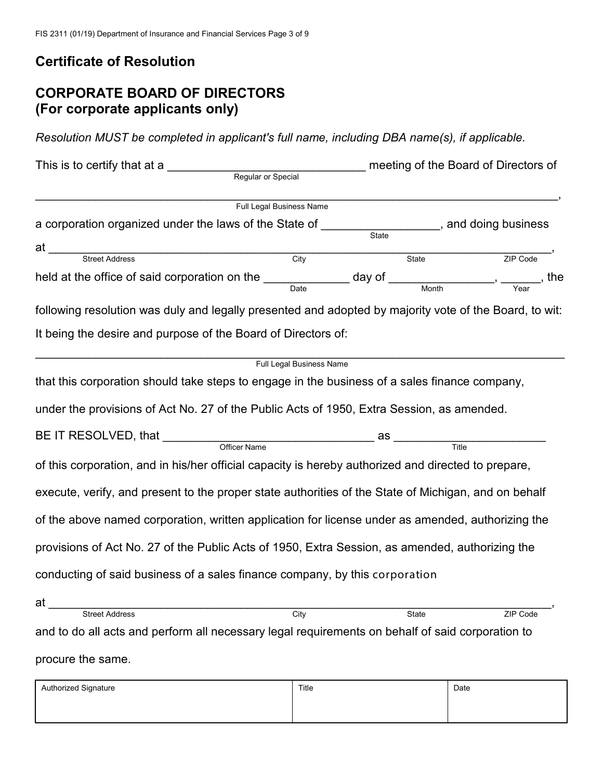# **Certificate of Resolution**

# **CORPORATE BOARD OF DIRECTORS (For corporate applicants only)**

*Resolution MUST be completed in applicant's full name, including DBA name(s), if applicable.*

| This is to certify that at a                                                                                                                                     | Regular or Special       |                                | meeting of the Board of Directors of |  |
|------------------------------------------------------------------------------------------------------------------------------------------------------------------|--------------------------|--------------------------------|--------------------------------------|--|
|                                                                                                                                                                  | Full Legal Business Name |                                |                                      |  |
| a corporation organized under the laws of the State of ______________________, and doing business                                                                |                          |                                |                                      |  |
|                                                                                                                                                                  |                          |                                |                                      |  |
| at Street Address City                                                                                                                                           |                          | $\overline{\phantom{a}}$ State | ZIP Code                             |  |
| held at the office of said corporation on the $\frac{1}{\text{Date}}$ day of $\frac{1}{\text{Month}}$ , $\frac{1}{\text{Month}}$ , $\frac{1}{\text{Year}}$ , the |                          |                                |                                      |  |
| following resolution was duly and legally presented and adopted by majority vote of the Board, to wit:                                                           |                          |                                |                                      |  |
| It being the desire and purpose of the Board of Directors of:                                                                                                    |                          |                                |                                      |  |
|                                                                                                                                                                  | Full Legal Business Name |                                |                                      |  |
| that this corporation should take steps to engage in the business of a sales finance company,                                                                    |                          |                                |                                      |  |
| under the provisions of Act No. 27 of the Public Acts of 1950, Extra Session, as amended.                                                                        |                          |                                |                                      |  |
|                                                                                                                                                                  |                          |                                |                                      |  |
|                                                                                                                                                                  |                          |                                |                                      |  |
| of this corporation, and in his/her official capacity is hereby authorized and directed to prepare,                                                              |                          |                                |                                      |  |
| execute, verify, and present to the proper state authorities of the State of Michigan, and on behalf                                                             |                          |                                |                                      |  |
| of the above named corporation, written application for license under as amended, authorizing the                                                                |                          |                                |                                      |  |
| provisions of Act No. 27 of the Public Acts of 1950, Extra Session, as amended, authorizing the                                                                  |                          |                                |                                      |  |
| conducting of said business of a sales finance company, by this corporation                                                                                      |                          |                                |                                      |  |
|                                                                                                                                                                  |                          |                                |                                      |  |
|                                                                                                                                                                  | City                     | State                          | <b>ZIP Code</b>                      |  |
| and to do all acts and perform all necessary legal requirements on behalf of said corporation to                                                                 |                          |                                |                                      |  |
| procure the same.                                                                                                                                                |                          |                                |                                      |  |

| Authorized Signature | Title | Date |
|----------------------|-------|------|
|                      |       |      |
|                      |       |      |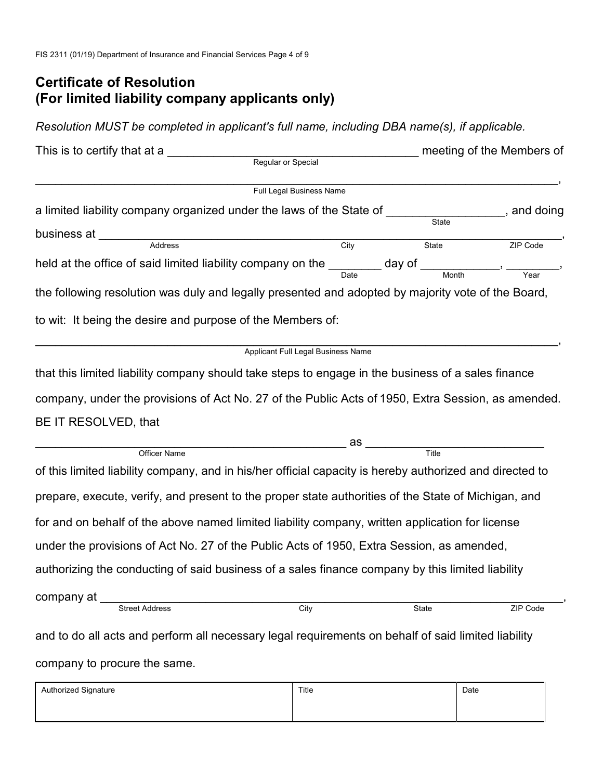# **Certificate of Resolution (For limited liability company applicants only)**

*Resolution MUST be completed in applicant's full name, including DBA name(s), if applicable.*

| This is to certify that at a                                                                                                                  |                                    |                                                                                                               | meeting of the Members of |
|-----------------------------------------------------------------------------------------------------------------------------------------------|------------------------------------|---------------------------------------------------------------------------------------------------------------|---------------------------|
| Regular or Special                                                                                                                            |                                    |                                                                                                               |                           |
|                                                                                                                                               | Full Legal Business Name           |                                                                                                               |                           |
| a limited liability company organized under the laws of the State of ____________                                                             |                                    |                                                                                                               | , and doing               |
|                                                                                                                                               |                                    |                                                                                                               |                           |
|                                                                                                                                               | City                               | $\overline{\text{State}}$                                                                                     | ZIP Code                  |
| held at the office of said limited liability company on the $\frac{1}{\text{Date}}$ day of $\frac{1}{\text{Month}}$ , $\frac{1}{\text{Year}}$ |                                    |                                                                                                               |                           |
| the following resolution was duly and legally presented and adopted by majority vote of the Board,                                            |                                    |                                                                                                               |                           |
| to wit: It being the desire and purpose of the Members of:                                                                                    |                                    |                                                                                                               |                           |
|                                                                                                                                               | Applicant Full Legal Business Name |                                                                                                               |                           |
| that this limited liability company should take steps to engage in the business of a sales finance                                            |                                    |                                                                                                               |                           |
| company, under the provisions of Act No. 27 of the Public Acts of 1950, Extra Session, as amended.                                            |                                    |                                                                                                               |                           |
| BE IT RESOLVED, that                                                                                                                          |                                    |                                                                                                               |                           |
| <u> 1990 - Johann Johann Harry Maria (j. 1980)</u>                                                                                            |                                    | as and the set of the set of the set of the set of the set of the set of the set of the set of the set of the |                           |
| Officer Name                                                                                                                                  |                                    | Title                                                                                                         |                           |
| of this limited liability company, and in his/her official capacity is hereby authorized and directed to                                      |                                    |                                                                                                               |                           |
| prepare, execute, verify, and present to the proper state authorities of the State of Michigan, and                                           |                                    |                                                                                                               |                           |
| for and on behalf of the above named limited liability company, written application for license                                               |                                    |                                                                                                               |                           |
| under the provisions of Act No. 27 of the Public Acts of 1950, Extra Session, as amended,                                                     |                                    |                                                                                                               |                           |
| authorizing the conducting of said business of a sales finance company by this limited liability                                              |                                    |                                                                                                               |                           |
| company at                                                                                                                                    |                                    |                                                                                                               |                           |
| <b>Street Address</b>                                                                                                                         | City                               | State                                                                                                         | ZIP Code                  |
| and to do all acts and perform all necessary legal requirements on behalf of said limited liability                                           |                                    |                                                                                                               |                           |
| company to procure the same.                                                                                                                  |                                    |                                                                                                               |                           |
| Authorized Signature                                                                                                                          | Title                              |                                                                                                               | Date                      |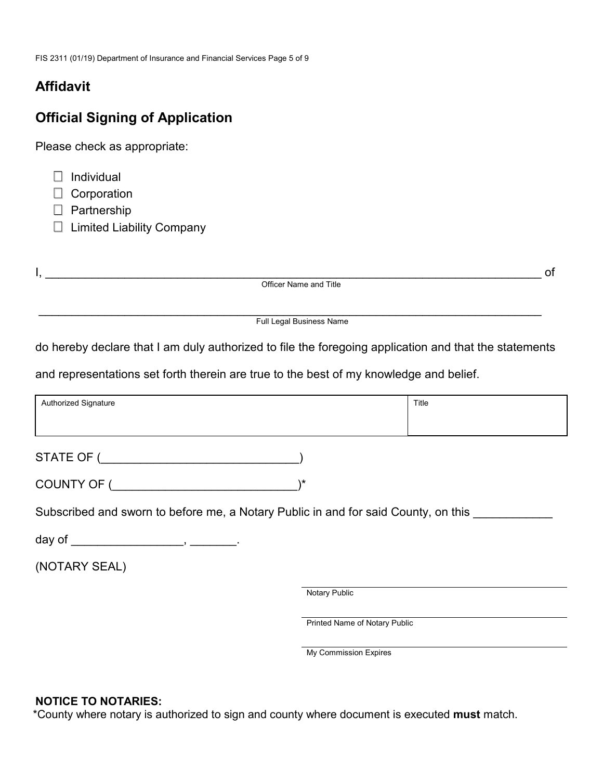# **Affidavit**

# **Official Signing of Application**

Please check as appropriate:

| ┱<br>Individual |
|-----------------|
|-----------------|

Corporation

Partnership

□ Limited Liability Company

I, \_\_\_\_\_\_\_\_\_\_\_\_\_\_\_\_\_\_\_\_\_\_\_\_\_\_\_\_\_\_\_\_\_\_\_\_\_\_\_\_\_\_\_\_\_\_\_\_\_\_\_\_\_\_\_\_\_\_\_\_\_\_\_\_\_\_\_\_\_\_\_\_\_\_\_ of

Officer Name and Title

\_\_\_\_\_\_\_\_\_\_\_\_\_\_\_\_\_\_\_\_\_\_\_\_\_\_\_\_\_\_\_\_\_\_\_\_\_\_\_\_\_\_\_\_\_\_\_\_\_\_\_\_\_\_\_\_\_\_\_\_\_\_\_\_\_\_\_\_\_\_\_\_\_\_\_\_ Full Legal Business Name

do hereby declare that I am duly authorized to file the foregoing application and that the statements

and representations set forth therein are true to the best of my knowledge and belief.

| Authorized Signature                                                               |                               | Title |
|------------------------------------------------------------------------------------|-------------------------------|-------|
|                                                                                    |                               |       |
| COUNTY OF (                                                                        | ∖∗                            |       |
| Subscribed and sworn to before me, a Notary Public in and for said County, on this |                               |       |
|                                                                                    |                               |       |
| (NOTARY SEAL)                                                                      |                               |       |
|                                                                                    | Notary Public                 |       |
|                                                                                    | Printed Name of Notary Public |       |

My Commission Expires

#### **NOTICE TO NOTARIES:**

\*County where notary is authorized to sign and county where document is executed **must** match.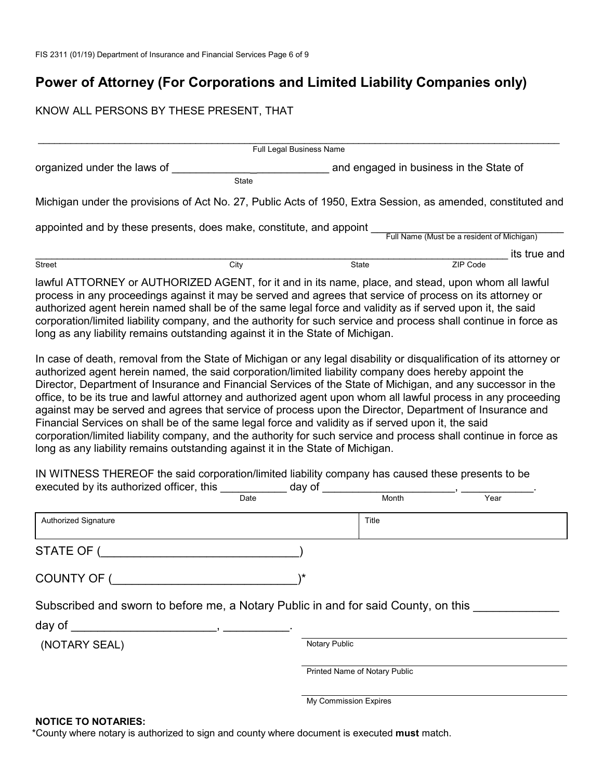# **Power of Attorney (For Corporations and Limited Liability Companies only)**

#### KNOW ALL PERSONS BY THESE PRESENT, THAT

|                                                                                                                                                                                                                                                                                                                                                                                                                                                                                                                                                                                                                                                                                                                                                                                                                                                                                                                                                                                                                                                                                                                                                                                                                                                                                                                                                                                                                              | Full Legal Business Name |                       |                               |                                            |              |
|------------------------------------------------------------------------------------------------------------------------------------------------------------------------------------------------------------------------------------------------------------------------------------------------------------------------------------------------------------------------------------------------------------------------------------------------------------------------------------------------------------------------------------------------------------------------------------------------------------------------------------------------------------------------------------------------------------------------------------------------------------------------------------------------------------------------------------------------------------------------------------------------------------------------------------------------------------------------------------------------------------------------------------------------------------------------------------------------------------------------------------------------------------------------------------------------------------------------------------------------------------------------------------------------------------------------------------------------------------------------------------------------------------------------------|--------------------------|-----------------------|-------------------------------|--------------------------------------------|--------------|
| organized under the laws of                                                                                                                                                                                                                                                                                                                                                                                                                                                                                                                                                                                                                                                                                                                                                                                                                                                                                                                                                                                                                                                                                                                                                                                                                                                                                                                                                                                                  |                          |                       |                               | and engaged in business in the State of    |              |
|                                                                                                                                                                                                                                                                                                                                                                                                                                                                                                                                                                                                                                                                                                                                                                                                                                                                                                                                                                                                                                                                                                                                                                                                                                                                                                                                                                                                                              | State                    |                       |                               |                                            |              |
| Michigan under the provisions of Act No. 27, Public Acts of 1950, Extra Session, as amended, constituted and                                                                                                                                                                                                                                                                                                                                                                                                                                                                                                                                                                                                                                                                                                                                                                                                                                                                                                                                                                                                                                                                                                                                                                                                                                                                                                                 |                          |                       |                               |                                            |              |
| appointed and by these presents, does make, constitute, and appoint                                                                                                                                                                                                                                                                                                                                                                                                                                                                                                                                                                                                                                                                                                                                                                                                                                                                                                                                                                                                                                                                                                                                                                                                                                                                                                                                                          |                          |                       |                               |                                            |              |
|                                                                                                                                                                                                                                                                                                                                                                                                                                                                                                                                                                                                                                                                                                                                                                                                                                                                                                                                                                                                                                                                                                                                                                                                                                                                                                                                                                                                                              |                          |                       |                               | Full Name (Must be a resident of Michigan) |              |
| Street                                                                                                                                                                                                                                                                                                                                                                                                                                                                                                                                                                                                                                                                                                                                                                                                                                                                                                                                                                                                                                                                                                                                                                                                                                                                                                                                                                                                                       | City                     |                       | State                         | ZIP Code                                   | its true and |
| lawful ATTORNEY or AUTHORIZED AGENT, for it and in its name, place, and stead, upon whom all lawful<br>process in any proceedings against it may be served and agrees that service of process on its attorney or<br>authorized agent herein named shall be of the same legal force and validity as if served upon it, the said<br>corporation/limited liability company, and the authority for such service and process shall continue in force as<br>long as any liability remains outstanding against it in the State of Michigan.<br>In case of death, removal from the State of Michigan or any legal disability or disqualification of its attorney or<br>authorized agent herein named, the said corporation/limited liability company does hereby appoint the<br>Director, Department of Insurance and Financial Services of the State of Michigan, and any successor in the<br>office, to be its true and lawful attorney and authorized agent upon whom all lawful process in any proceeding<br>against may be served and agrees that service of process upon the Director, Department of Insurance and<br>Financial Services on shall be of the same legal force and validity as if served upon it, the said<br>corporation/limited liability company, and the authority for such service and process shall continue in force as<br>long as any liability remains outstanding against it in the State of Michigan. |                          |                       |                               |                                            |              |
| IN WITNESS THEREOF the said corporation/limited liability company has caused these presents to be<br>executed by its authorized officer, this                                                                                                                                                                                                                                                                                                                                                                                                                                                                                                                                                                                                                                                                                                                                                                                                                                                                                                                                                                                                                                                                                                                                                                                                                                                                                | day of<br>Date           |                       | Month                         | Year                                       |              |
| Authorized Signature                                                                                                                                                                                                                                                                                                                                                                                                                                                                                                                                                                                                                                                                                                                                                                                                                                                                                                                                                                                                                                                                                                                                                                                                                                                                                                                                                                                                         |                          |                       | Title                         |                                            |              |
| <b>STATE OF</b>                                                                                                                                                                                                                                                                                                                                                                                                                                                                                                                                                                                                                                                                                                                                                                                                                                                                                                                                                                                                                                                                                                                                                                                                                                                                                                                                                                                                              |                          |                       |                               |                                            |              |
| COUNTY OF (                                                                                                                                                                                                                                                                                                                                                                                                                                                                                                                                                                                                                                                                                                                                                                                                                                                                                                                                                                                                                                                                                                                                                                                                                                                                                                                                                                                                                  | \*                       |                       |                               |                                            |              |
| Subscribed and sworn to before me, a Notary Public in and for said County, on this _______                                                                                                                                                                                                                                                                                                                                                                                                                                                                                                                                                                                                                                                                                                                                                                                                                                                                                                                                                                                                                                                                                                                                                                                                                                                                                                                                   |                          |                       |                               |                                            |              |
| day of $\frac{1}{1}$ ,                                                                                                                                                                                                                                                                                                                                                                                                                                                                                                                                                                                                                                                                                                                                                                                                                                                                                                                                                                                                                                                                                                                                                                                                                                                                                                                                                                                                       |                          |                       |                               |                                            |              |
| (NOTARY SEAL)                                                                                                                                                                                                                                                                                                                                                                                                                                                                                                                                                                                                                                                                                                                                                                                                                                                                                                                                                                                                                                                                                                                                                                                                                                                                                                                                                                                                                |                          | Notary Public         |                               |                                            |              |
|                                                                                                                                                                                                                                                                                                                                                                                                                                                                                                                                                                                                                                                                                                                                                                                                                                                                                                                                                                                                                                                                                                                                                                                                                                                                                                                                                                                                                              |                          |                       | Printed Name of Notary Public |                                            |              |
|                                                                                                                                                                                                                                                                                                                                                                                                                                                                                                                                                                                                                                                                                                                                                                                                                                                                                                                                                                                                                                                                                                                                                                                                                                                                                                                                                                                                                              |                          | My Commission Expires |                               |                                            |              |

#### **NOTICE TO NOTARIES:**

\*County where notary is authorized to sign and county where document is executed **must** match.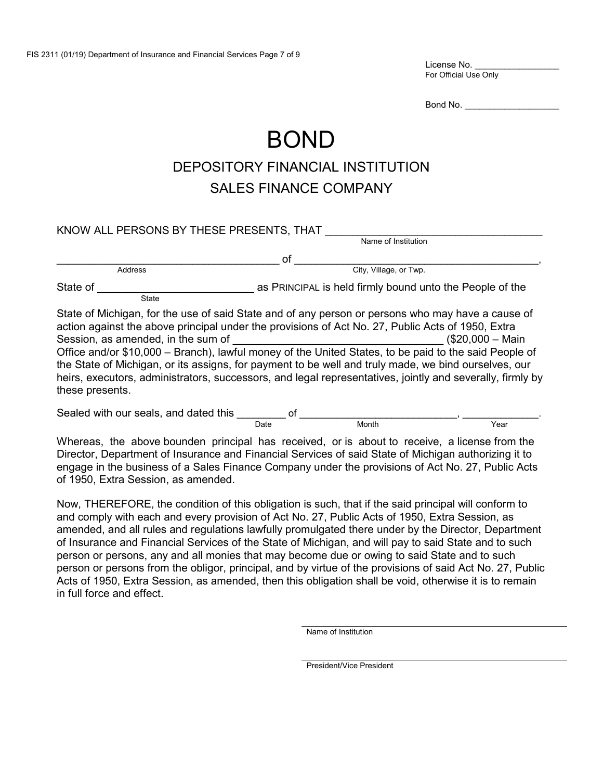License No. For Official Use Only

Bond No. \_

# BOND

# DEPOSITORY FINANCIAL INSTITUTION SALES FINANCE COMPANY

| KNOW ALL PERSONS BY THESE PRESENTS, THAT              |                                                                                                                                                                                                                                                                                                                                                                                                                                                                                                                                                          |
|-------------------------------------------------------|----------------------------------------------------------------------------------------------------------------------------------------------------------------------------------------------------------------------------------------------------------------------------------------------------------------------------------------------------------------------------------------------------------------------------------------------------------------------------------------------------------------------------------------------------------|
|                                                       | Name of Institution                                                                                                                                                                                                                                                                                                                                                                                                                                                                                                                                      |
|                                                       | οf                                                                                                                                                                                                                                                                                                                                                                                                                                                                                                                                                       |
| <b>Address</b>                                        | City, Village, or Twp.                                                                                                                                                                                                                                                                                                                                                                                                                                                                                                                                   |
| State of<br><b>State</b>                              | as PRINCIPAL is held firmly bound unto the People of the                                                                                                                                                                                                                                                                                                                                                                                                                                                                                                 |
| Session, as amended, in the sum of<br>these presents. | State of Michigan, for the use of said State and of any person or persons who may have a cause of<br>action against the above principal under the provisions of Act No. 27, Public Acts of 1950, Extra<br>$$20,000 - Main$<br>Office and/or \$10,000 - Branch), lawful money of the United States, to be paid to the said People of<br>the State of Michigan, or its assigns, for payment to be well and truly made, we bind ourselves, our<br>heirs, executors, administrators, successors, and legal representatives, jointly and severally, firmly by |
| Sealed with our seals, and dated this                 | οf                                                                                                                                                                                                                                                                                                                                                                                                                                                                                                                                                       |

Whereas, the above bounden principal has received, or is about to receive, a license from the Director, Department of Insurance and Financial Services of said State of Michigan authorizing it to engage in the business of a Sales Finance Company under the provisions of Act No. 27, Public Acts of 1950, Extra Session, as amended.

Date Month Year

Now, THEREFORE, the condition of this obligation is such, that if the said principal will conform to and comply with each and every provision of Act No. 27, Public Acts of 1950, Extra Session, as amended, and all rules and regulations lawfully promulgated there under by the Director, Department of Insurance and Financial Services of the State of Michigan, and will pay to said State and to such person or persons, any and all monies that may become due or owing to said State and to such person or persons from the obligor, principal, and by virtue of the provisions of said Act No. 27, Public Acts of 1950, Extra Session, as amended, then this obligation shall be void, otherwise it is to remain in full force and effect.

Name of Institution

President/Vice President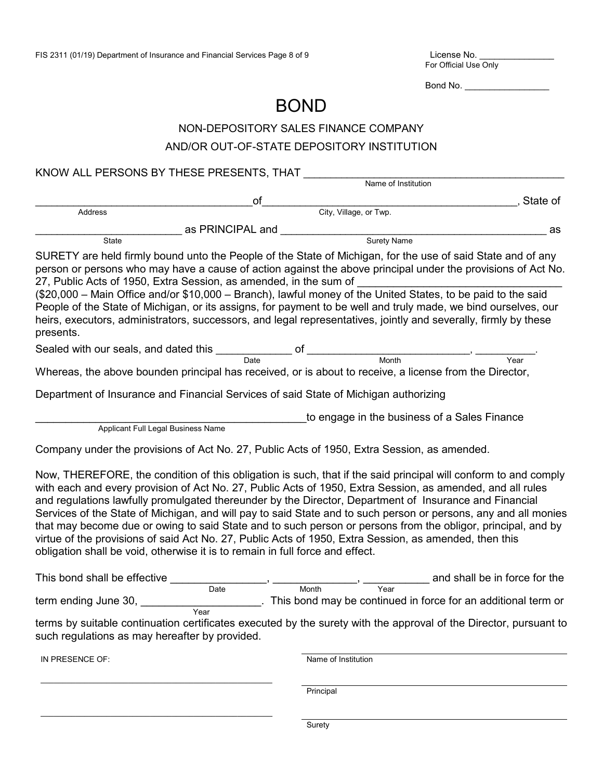License No. \_\_\_\_\_<br>For Official Use Only

Bond No. \_\_\_\_\_\_\_\_\_\_\_\_\_\_\_\_\_

# BOND

# NON-DEPOSITORY SALES FINANCE COMPANY

### AND/OR OUT-OF-STATE DEPOSITORY INSTITUTION

KNOW ALL PERSONS BY THESE PRESENTS, THAT

\_\_\_\_\_\_\_\_\_\_\_\_\_\_\_\_\_\_\_\_\_\_\_\_\_\_\_\_\_\_\_\_\_\_\_\_\_\_\_\_\_\_\_\_\_\_\_\_\_\_\_\_\_

|                                                                                                                                                                                                                                                                                                                                                                                                                 |                                    |           | Name of Institution    |                                                                                                                                                                                                                                                                                                                                                                                                                                                                                                                                                                                  |
|-----------------------------------------------------------------------------------------------------------------------------------------------------------------------------------------------------------------------------------------------------------------------------------------------------------------------------------------------------------------------------------------------------------------|------------------------------------|-----------|------------------------|----------------------------------------------------------------------------------------------------------------------------------------------------------------------------------------------------------------------------------------------------------------------------------------------------------------------------------------------------------------------------------------------------------------------------------------------------------------------------------------------------------------------------------------------------------------------------------|
|                                                                                                                                                                                                                                                                                                                                                                                                                 | оf                                 |           |                        | State of                                                                                                                                                                                                                                                                                                                                                                                                                                                                                                                                                                         |
| Address                                                                                                                                                                                                                                                                                                                                                                                                         |                                    |           | City, Village, or Twp. |                                                                                                                                                                                                                                                                                                                                                                                                                                                                                                                                                                                  |
|                                                                                                                                                                                                                                                                                                                                                                                                                 | as PRINCIPAL and                   |           |                        | as                                                                                                                                                                                                                                                                                                                                                                                                                                                                                                                                                                               |
| State                                                                                                                                                                                                                                                                                                                                                                                                           |                                    |           | Surety Name            |                                                                                                                                                                                                                                                                                                                                                                                                                                                                                                                                                                                  |
| 27, Public Acts of 1950, Extra Session, as amended, in the sum of<br>presents.                                                                                                                                                                                                                                                                                                                                  |                                    |           |                        | SURETY are held firmly bound unto the People of the State of Michigan, for the use of said State and of any<br>person or persons who may have a cause of action against the above principal under the provisions of Act No.<br>(\$20,000 – Main Office and/or \$10,000 – Branch), lawful money of the United States, to be paid to the said<br>People of the State of Michigan, or its assigns, for payment to be well and truly made, we bind ourselves, our<br>heirs, executors, administrators, successors, and legal representatives, jointly and severally, firmly by these |
|                                                                                                                                                                                                                                                                                                                                                                                                                 |                                    |           |                        |                                                                                                                                                                                                                                                                                                                                                                                                                                                                                                                                                                                  |
|                                                                                                                                                                                                                                                                                                                                                                                                                 |                                    |           |                        | Year                                                                                                                                                                                                                                                                                                                                                                                                                                                                                                                                                                             |
| Whereas, the above bounden principal has received, or is about to receive, a license from the Director,                                                                                                                                                                                                                                                                                                         |                                    |           |                        |                                                                                                                                                                                                                                                                                                                                                                                                                                                                                                                                                                                  |
| Department of Insurance and Financial Services of said State of Michigan authorizing                                                                                                                                                                                                                                                                                                                            |                                    |           |                        |                                                                                                                                                                                                                                                                                                                                                                                                                                                                                                                                                                                  |
|                                                                                                                                                                                                                                                                                                                                                                                                                 |                                    |           |                        | to engage in the business of a Sales Finance                                                                                                                                                                                                                                                                                                                                                                                                                                                                                                                                     |
|                                                                                                                                                                                                                                                                                                                                                                                                                 | Applicant Full Legal Business Name |           |                        |                                                                                                                                                                                                                                                                                                                                                                                                                                                                                                                                                                                  |
| Company under the provisions of Act No. 27, Public Acts of 1950, Extra Session, as amended.                                                                                                                                                                                                                                                                                                                     |                                    |           |                        |                                                                                                                                                                                                                                                                                                                                                                                                                                                                                                                                                                                  |
| with each and every provision of Act No. 27, Public Acts of 1950, Extra Session, as amended, and all rules<br>and regulations lawfully promulgated thereunder by the Director, Department of Insurance and Financial<br>virtue of the provisions of said Act No. 27, Public Acts of 1950, Extra Session, as amended, then this<br>obligation shall be void, otherwise it is to remain in full force and effect. |                                    |           |                        | Now, THEREFORE, the condition of this obligation is such, that if the said principal will conform to and comply<br>Services of the State of Michigan, and will pay to said State and to such person or persons, any and all monies<br>that may become due or owing to said State and to such person or persons from the obligor, principal, and by                                                                                                                                                                                                                               |
| This bond shall be effective                                                                                                                                                                                                                                                                                                                                                                                    |                                    |           |                        | and shall be in force for the                                                                                                                                                                                                                                                                                                                                                                                                                                                                                                                                                    |
| term ending June 30,                                                                                                                                                                                                                                                                                                                                                                                            | Date                               | Month     | Year                   | . This bond may be continued in force for an additional term or                                                                                                                                                                                                                                                                                                                                                                                                                                                                                                                  |
| such regulations as may hereafter by provided.                                                                                                                                                                                                                                                                                                                                                                  | Year                               |           |                        | terms by suitable continuation certificates executed by the surety with the approval of the Director, pursuant to                                                                                                                                                                                                                                                                                                                                                                                                                                                                |
| IN PRESENCE OF:                                                                                                                                                                                                                                                                                                                                                                                                 |                                    |           | Name of Institution    |                                                                                                                                                                                                                                                                                                                                                                                                                                                                                                                                                                                  |
|                                                                                                                                                                                                                                                                                                                                                                                                                 |                                    | Principal |                        |                                                                                                                                                                                                                                                                                                                                                                                                                                                                                                                                                                                  |